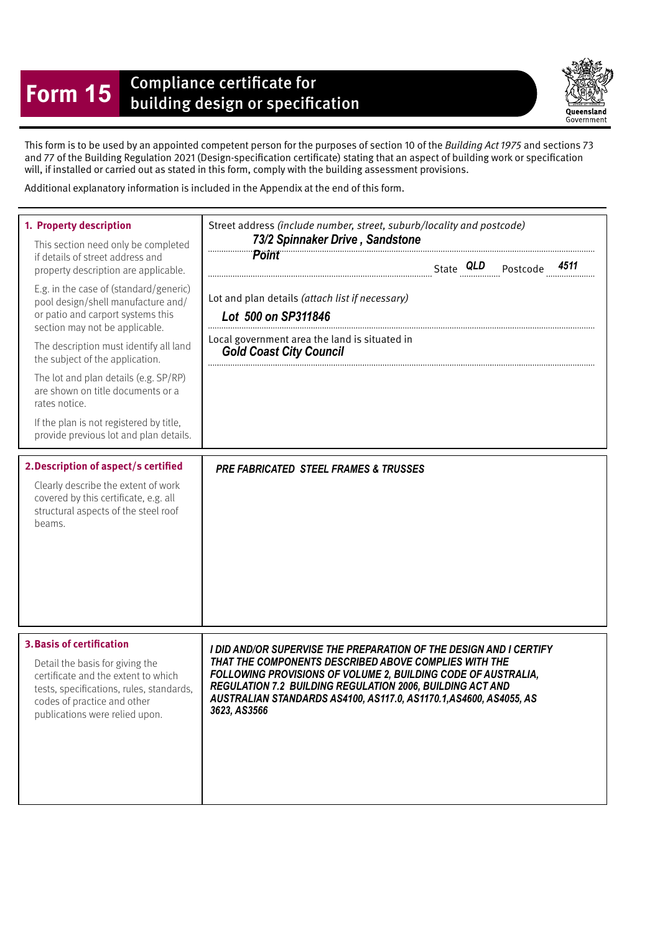## **Form 15** Compliance certificate for<br>building design or specification

Queensland Government

This form is to be used by an appointed competent person for the purposes of section 10 of the Building Act 1975 and sections 73 and 77 of the Building Regulation 2021 (Design-specifcation certifcate) stating that an aspect of building work or specifcation will, if installed or carried out as stated in this form, comply with the building assessment provisions.

Additional explanatory information is included in the Appendix at the end of this form.

| 1. Property description<br>This section need only be completed<br>if details of street address and<br>property description are applicable.<br>E.g. in the case of (standard/generic)<br>pool design/shell manufacture and/<br>or patio and carport systems this<br>section may not be applicable.<br>The description must identify all land<br>the subject of the application.<br>The lot and plan details (e.g. SP/RP)<br>are shown on title documents or a<br>rates notice.<br>If the plan is not registered by title,<br>provide previous lot and plan details.<br>2. Description of aspect/s certified<br>Clearly describe the extent of work<br>covered by this certificate, e.g. all<br>structural aspects of the steel roof<br>beams. | Street address (include number, street, suburb/locality and postcode)<br>73/2 Spinnaker Drive, Sandstone<br><b>Point</b><br>Lot and plan details (attach list if necessary)<br>Lot 500 on SP311846<br>Local government area the land is situated in<br><b>Gold Coast City Council</b><br><b>PRE FABRICATED STEEL FRAMES &amp; TRUSSES</b> |
|----------------------------------------------------------------------------------------------------------------------------------------------------------------------------------------------------------------------------------------------------------------------------------------------------------------------------------------------------------------------------------------------------------------------------------------------------------------------------------------------------------------------------------------------------------------------------------------------------------------------------------------------------------------------------------------------------------------------------------------------|-------------------------------------------------------------------------------------------------------------------------------------------------------------------------------------------------------------------------------------------------------------------------------------------------------------------------------------------|
| <b>3. Basis of certification</b>                                                                                                                                                                                                                                                                                                                                                                                                                                                                                                                                                                                                                                                                                                             | I DID AND/OR SUPERVISE THE PREPARATION OF THE DESIGN AND I CERTIFY                                                                                                                                                                                                                                                                        |
| Detail the basis for giving the                                                                                                                                                                                                                                                                                                                                                                                                                                                                                                                                                                                                                                                                                                              | THAT THE COMPONENTS DESCRIBED ABOVE COMPLIES WITH THE                                                                                                                                                                                                                                                                                     |
| certificate and the extent to which                                                                                                                                                                                                                                                                                                                                                                                                                                                                                                                                                                                                                                                                                                          | FOLLOWING PROVISIONS OF VOLUME 2, BUILDING CODE OF AUSTRALIA,                                                                                                                                                                                                                                                                             |
| tests, specifications, rules, standards,                                                                                                                                                                                                                                                                                                                                                                                                                                                                                                                                                                                                                                                                                                     | <b>REGULATION 7.2 BUILDING REGULATION 2006, BUILDING ACT AND</b>                                                                                                                                                                                                                                                                          |
| codes of practice and other                                                                                                                                                                                                                                                                                                                                                                                                                                                                                                                                                                                                                                                                                                                  | AUSTRALIAN STANDARDS AS4100, AS117.0, AS1170.1, AS4600, AS4055, AS                                                                                                                                                                                                                                                                        |
| publications were relied upon.                                                                                                                                                                                                                                                                                                                                                                                                                                                                                                                                                                                                                                                                                                               | 3623, AS3566                                                                                                                                                                                                                                                                                                                              |